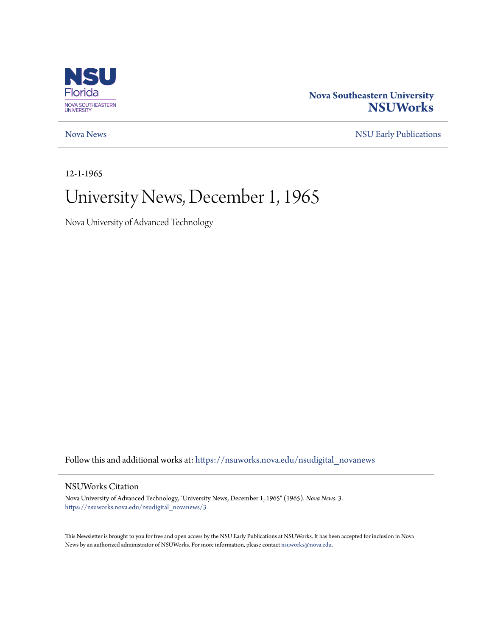

### **Nova Southeastern University [NSUWorks](https://nsuworks.nova.edu?utm_source=nsuworks.nova.edu%2Fnsudigital_novanews%2F3&utm_medium=PDF&utm_campaign=PDFCoverPages)**

[Nova News](https://nsuworks.nova.edu/nsudigital_novanews?utm_source=nsuworks.nova.edu%2Fnsudigital_novanews%2F3&utm_medium=PDF&utm_campaign=PDFCoverPages) [NSU Early Publications](https://nsuworks.nova.edu/nsudigital_earlypubs?utm_source=nsuworks.nova.edu%2Fnsudigital_novanews%2F3&utm_medium=PDF&utm_campaign=PDFCoverPages)

12-1-1965

## University News, December 1, 1965

Nova University of Advanced Technology

Follow this and additional works at: [https://nsuworks.nova.edu/nsudigital\\_novanews](https://nsuworks.nova.edu/nsudigital_novanews?utm_source=nsuworks.nova.edu%2Fnsudigital_novanews%2F3&utm_medium=PDF&utm_campaign=PDFCoverPages)

#### NSUWorks Citation

Nova University of Advanced Technology, "University News, December 1, 1965" (1965). *Nova News*. 3. [https://nsuworks.nova.edu/nsudigital\\_novanews/3](https://nsuworks.nova.edu/nsudigital_novanews/3?utm_source=nsuworks.nova.edu%2Fnsudigital_novanews%2F3&utm_medium=PDF&utm_campaign=PDFCoverPages)

This Newsletter is brought to you for free and open access by the NSU Early Publications at NSUWorks. It has been accepted for inclusion in Nova News by an authorized administrator of NSUWorks. For more information, please contact [nsuworks@nova.edu.](mailto:nsuworks@nova.edu)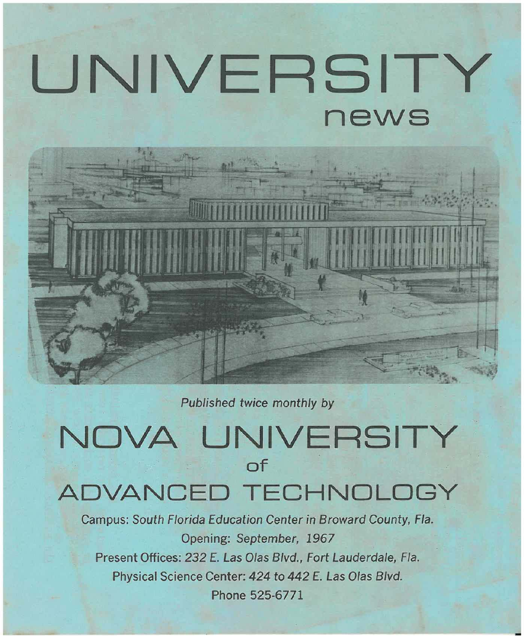# **UNIVERSITY news**

Published twice monthly by

### **NOVA UNIVERSITY of ADVANCED TECHNOLOGY**

Campus: South Florida Education Center in Broward County, Fla. Opening: September, 1967 Present Offices: 232 E. Las Olas Blvd., Fort Lauderdale, Fla. Physical Science Center: 424 to 442 E. Las Olas Blvd. Phone 525-6771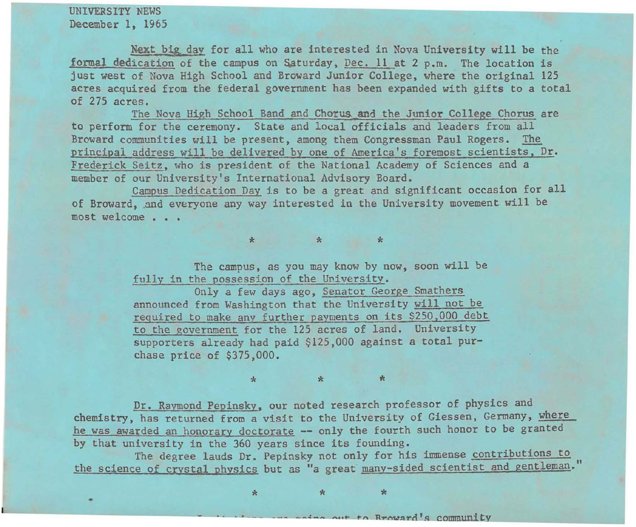UNIVERSITY NEWS December I, 1965

Next big day for all who are interested in Nova University will be the formal dedication of the campus on Saturday, Dec. 11 at 2 p.m. The location is just west of Nova High School and Broward Junior College, where the original 125 acres acquired from the federal government has been expanded with gifts to a total of 275 acres.

The Nova High School Band and Chorus and the Junior College Chorus are to perform for the ceremony. State and local officials and leaders from all Broward communities will be present, among them Congressman Paul Rogers. The principal address will be delivered by one of America's foremost scientists, Dr. Frederick Seitz, who is president of the National Academy of Sciences and a member of our University's International Advisory Board.

Campus Dedication Day is to be a great and significant occasion for all of Broward, and everyone any way interested in the University movement will be **most welcome . . .** 

 $*$  it it is in  $*$ 

The campus, as you may know by now, soon will be fully in the possession of the University.

Only a few days ago, Senator George Smathers announced from Washington that the University will not be required to make any further payments on its \$250,000 debt to the government for the 125 acres of land. University supporters already had paid \$125,000 against a total purchase price of \$375,000.

Dr. Raymond Pepinsky, our noted research professor of physics and chemistry, has returned from a visit to the University of Giessen, Germany, where he was awarded an honorary doctorate -- only the fourth such honor to be granted by that university in the 360 years since its founding.

 $\begin{array}{ccc} \star \end{array}$ 

The degree lauds Dr. Pepinsky not only for his immense contributions to the science of crystal physics but as "a great many-sided scientist and gentleman."

• \* \*

 $\star$ 

 $\lim_{n \to \infty}$  out to Broward's community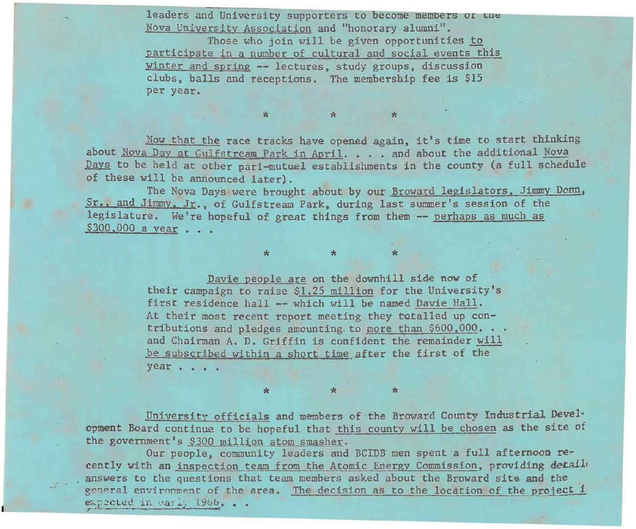leaders and University supporters to become members or the Nova University Association and "honorary alumni".

Those who join will be given opportunities to participate in a number of cultural and social events this winter and spring -- lectures, study groups, discussion clubs, balls and receptions. The membership fee is \$15 per year.

Now that the race tracks have opened again, it's time to start thinking about Nova Day at Gulfstream Park in April. . . . and about the additional Nova Days to be held at other pari-mutuel establishments in the county (a full schedule of these will be announced later).

.. \* \*

The Nova Days were brought about by our Broward legislators, Jimmy Donn, Sr., and Jimmy. Jr., of Gulfstream Park, during last summer's session of the legislature. We're hopeful of great things from them -- perhaps as much as \$300,000 a year . . .

\* \* \*

Davie people are on the downhill side now of their campaign to raise \$1.25 million for the University's first residence hall -- which will be named Davie Hall. At their most recent report meeting they totalled up contributions and pledges amounting to more than  $$600,000$  ... and Chairman A. D. Griffin is confident the remainder will be subscribed within a short time after the first of the **year . . . .** 

University officials and members of the Breward County Industrial Development Board continue to be hopeful that this county will be chosen as the site of the government's \$300 million atom smasher.

\* \* \*

Our people, community leaders and BCIDD men spent a full afternoon recently with an inspection team from the Atomic Energy Commission, providing *detail*, answers to the questions that team members asked about the Broward site and the general environment of the area. The decision as to the location of the project  $1$ e~ ... p.Jct..erl **in** '. 'ar l.:,. **1966 •••** *z:.-- - --*